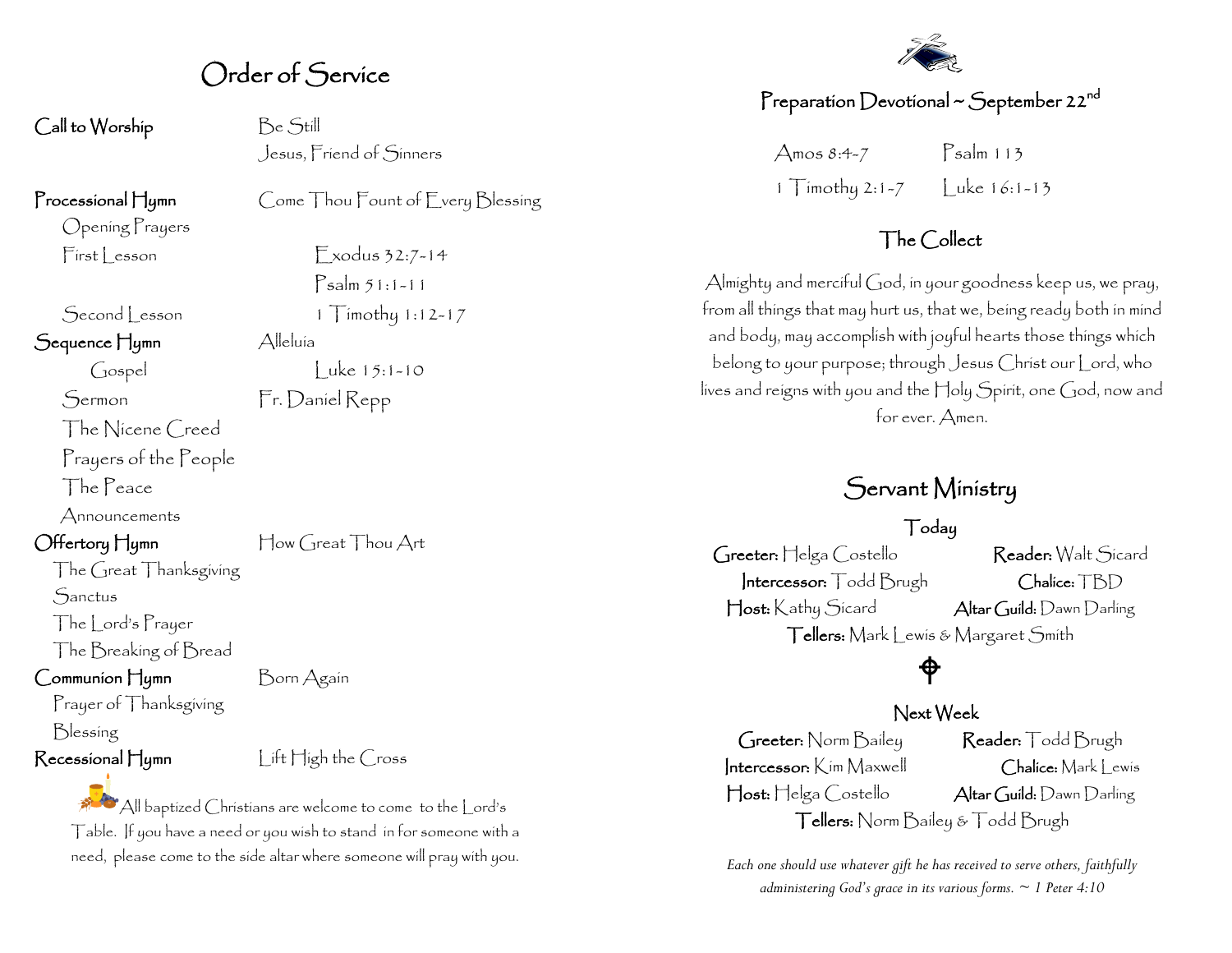#### Order of Service

Call to Worship Be Still

Jesus, Friend of Sinners

Opening Prayers

Sequence Hymn Alleluía

The Nicene Creed Prayers of the People

The Peace

Announcements

Offertory Hymn How Great Thou Art

The Great Thanksgiving

**Sanctus** 

The Lord's Prayer

The Breaking of Bread

Communion Hymn Born Again

Prayer of Thanksgiving

Blessing

Recessional Hymn Lift High the Cross

 $\mathbb{A}^{\mathbb{C}}$  All baptized Christians are welcome to come to the  $|$  ord's Table. If you have a need or you wish to stand in for someone with a need, please come to the side altar where someone will pray with you.

Processional Hymn Come Thou Fount of Every Blessing

 $First less on$  Exodus 32:7-14 Psalm 51:1-11 Second Lesson 1 Timothy 1:12-17  $\int \csc(15.1-10)$  Luke 15:1-10

Sermon Fr. Daniel Repp

#### Preparation Devotional ~ September 22 $^{\mathsf{nd}}$

 $\Delta$ mos 8:4-7 Psalm 113 1 Timothy 2:1-7  $|$  uke 16:1-13

#### The Collect

Almighty and merciful God, in your goodness keep us, we pray, from all things that may hurt us, that we, being ready both in mind and body, may accomplish with joyful hearts those things which belong to your purpose; through Jesus Christ our Lord, who lives and reigns with you and the Holy Spirit, one God, now and for ever. Amen.

#### Servant Ministry

#### Today

Greeter: Helga Costello Reader: Walt Sicard Intercessor: Todd Brugh Chalice: TBD Host: Kathy Sicard Altar Guild: Dawn Darling Tellers: Mark Lewis & Margaret Smith

## $\bigoplus$

#### Next Week

Greeter: Norm Bailey Reader: Todd Brugh Intercessor: Kim Maxwell Chalice: Mark Lewis Host: Helga Costello Altar Guild: Dawn Darling Tellers: Norm Bailey & Todd Brugh

*Each one should use whatever gift he has received to serve others, faithfully administering God's grace in its various forms. ~ 1 Peter 4:10*